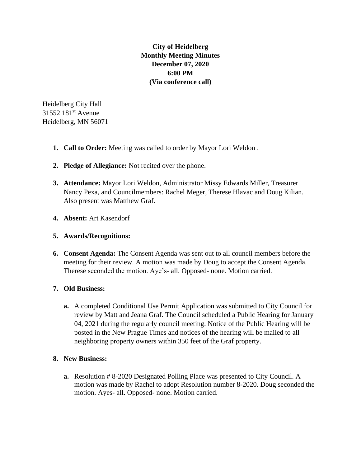**City of Heidelberg Monthly Meeting Minutes December 07, 2020 6:00 PM (Via conference call)**

Heidelberg City Hall 31552 181<sup>st</sup> Avenue Heidelberg, MN 56071

- **1. Call to Order:** Meeting was called to order by Mayor Lori Weldon .
- **2. Pledge of Allegiance:** Not recited over the phone.
- **3. Attendance:** Mayor Lori Weldon, Administrator Missy Edwards Miller, Treasurer Nancy Pexa, and Councilmembers: Rachel Meger, Therese Hlavac and Doug Kilian. Also present was Matthew Graf.
- **4. Absent:** Art Kasendorf
- **5. Awards/Recognitions:**
- **6. Consent Agenda:** The Consent Agenda was sent out to all council members before the meeting for their review. A motion was made by Doug to accept the Consent Agenda. Therese seconded the motion. Aye's- all. Opposed- none. Motion carried.

## **7. Old Business:**

**a.** A completed Conditional Use Permit Application was submitted to City Council for review by Matt and Jeana Graf. The Council scheduled a Public Hearing for January 04, 2021 during the regularly council meeting. Notice of the Public Hearing will be posted in the New Prague Times and notices of the hearing will be mailed to all neighboring property owners within 350 feet of the Graf property.

## **8. New Business:**

**a.** Resolution # 8-2020 Designated Polling Place was presented to City Council. A motion was made by Rachel to adopt Resolution number 8-2020. Doug seconded the motion. Ayes- all. Opposed- none. Motion carried.